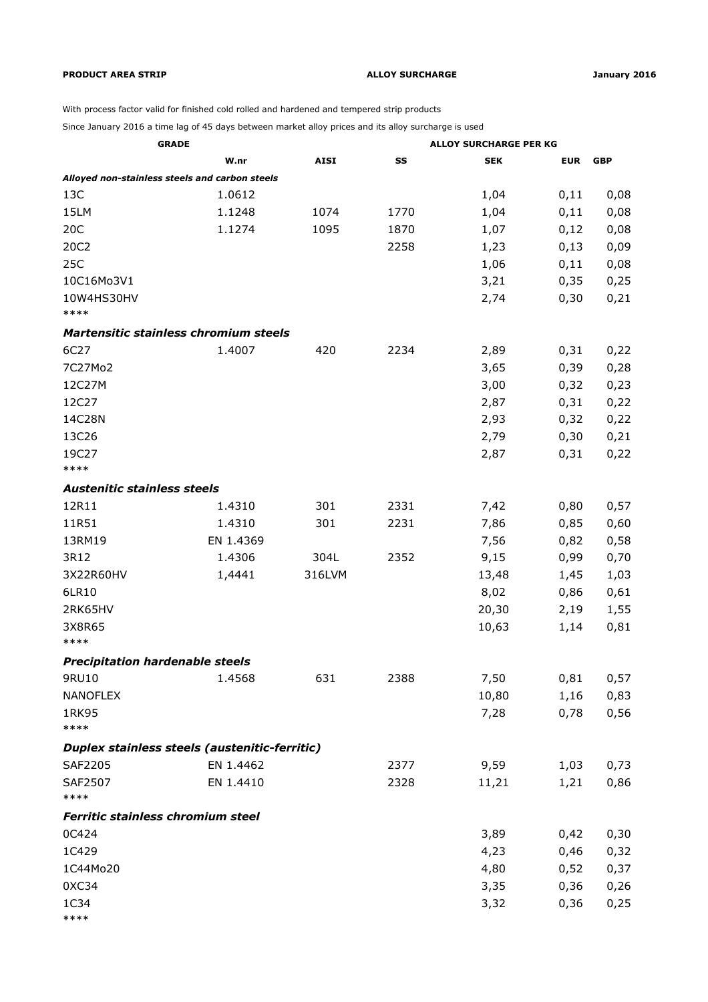## **PRODUCT AREA STRIP ALLOY SURCHARGE January 2016**

With process factor valid for finished cold rolled and hardened and tempered strip products

Since January 2016 a time lag of 45 days between market alloy prices and its alloy surcharge is used

| <b>GRADE</b>                                   |           |             | <b>ALLOY SURCHARGE PER KG</b> |            |            |            |
|------------------------------------------------|-----------|-------------|-------------------------------|------------|------------|------------|
|                                                | W.nr      | <b>AISI</b> | SS                            | <b>SEK</b> | <b>EUR</b> | <b>GBP</b> |
| Alloyed non-stainless steels and carbon steels |           |             |                               |            |            |            |
| 13C                                            | 1.0612    |             |                               | 1,04       | 0,11       | 0,08       |
| 15LM                                           | 1.1248    | 1074        | 1770                          | 1,04       | 0,11       | 0,08       |
| 20C                                            | 1.1274    | 1095        | 1870                          | 1,07       | 0,12       | 0,08       |
| 20C2                                           |           |             | 2258                          | 1,23       | 0,13       | 0,09       |
| 25C                                            |           |             |                               | 1,06       | 0,11       | 0,08       |
| 10C16Mo3V1                                     |           |             |                               | 3,21       | 0,35       | 0,25       |
| 10W4HS30HV                                     |           |             |                               | 2,74       | 0,30       | 0,21       |
| ****                                           |           |             |                               |            |            |            |
| Martensitic stainless chromium steels          |           |             |                               |            |            |            |
| 6C27                                           | 1.4007    | 420         | 2234                          | 2,89       | 0,31       | 0,22       |
| 7C27Mo2                                        |           |             |                               | 3,65       | 0,39       | 0,28       |
| 12C27M                                         |           |             |                               | 3,00       | 0,32       | 0,23       |
| 12C27                                          |           |             |                               | 2,87       | 0,31       | 0,22       |
| 14C28N                                         |           |             |                               | 2,93       | 0,32       | 0,22       |
| 13C26                                          |           |             |                               | 2,79       | 0,30       | 0,21       |
| 19C27                                          |           |             |                               | 2,87       | 0,31       | 0,22       |
| ****                                           |           |             |                               |            |            |            |
| <b>Austenitic stainless steels</b>             |           |             |                               |            |            |            |
| 12R11                                          | 1.4310    | 301         | 2331                          | 7,42       | 0,80       | 0,57       |
| 11R51                                          | 1.4310    | 301         | 2231                          | 7,86       | 0,85       | 0,60       |
| 13RM19                                         | EN 1.4369 |             |                               | 7,56       | 0,82       | 0,58       |
| 3R12                                           | 1.4306    | 304L        | 2352                          | 9,15       | 0,99       | 0,70       |
| 3X22R60HV                                      | 1,4441    | 316LVM      |                               | 13,48      | 1,45       | 1,03       |
| 6LR10                                          |           |             |                               | 8,02       | 0,86       | 0,61       |
| 2RK65HV                                        |           |             |                               | 20,30      | 2,19       | 1,55       |
| 3X8R65                                         |           |             |                               | 10,63      | 1,14       | 0,81       |
| ****                                           |           |             |                               |            |            |            |
| <b>Precipitation hardenable steels</b>         |           |             |                               |            |            |            |
| 9RU10                                          | 1.4568    | 631         | 2388                          | 7,50       | 0,81       | 0,57       |
| <b>NANOFLEX</b>                                |           |             |                               | 10,80      | 1,16       | 0,83       |
| 1RK95                                          |           |             |                               | 7,28       | 0,78       | 0,56       |
| ****                                           |           |             |                               |            |            |            |
| Duplex stainless steels (austenitic-ferritic)  |           |             |                               |            |            |            |
| SAF2205                                        | EN 1.4462 |             | 2377                          | 9,59       | 1,03       | 0,73       |
| SAF2507                                        | EN 1.4410 |             | 2328                          | 11,21      | 1,21       | 0,86       |
| ****                                           |           |             |                               |            |            |            |
| Ferritic stainless chromium steel              |           |             |                               |            |            |            |
| 0C424                                          |           |             |                               | 3,89       | 0,42       | 0,30       |
| 1C429                                          |           |             |                               | 4,23       | 0,46       | 0,32       |
| 1C44Mo20                                       |           |             |                               | 4,80       | 0,52       | 0,37       |
| 0XC34                                          |           |             |                               | 3,35       | 0,36       | 0,26       |
| 1C34                                           |           |             |                               | 3,32       | 0,36       | 0,25       |
| ****                                           |           |             |                               |            |            |            |